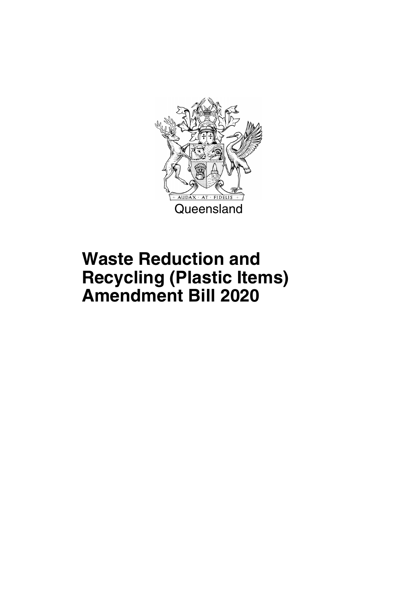

## **Waste Reduction and Recycling (Plastic Items) Amendment Bill 2020**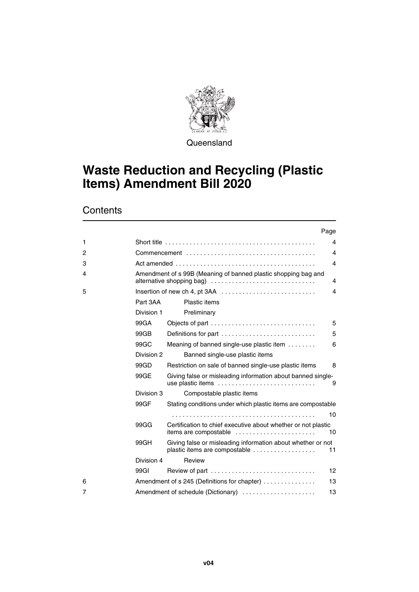

**Queensland** 

## **Waste Reduction and Recycling (Plastic Items) Amendment Bill 2020**

**Contents** 

|   |                  | Page                                                                                         |    |
|---|------------------|----------------------------------------------------------------------------------------------|----|
| 1 |                  |                                                                                              | 4  |
| 2 |                  |                                                                                              | 4  |
| 3 |                  |                                                                                              | 4  |
| 4 |                  | Amendment of s 99B (Meaning of banned plastic shopping bag and                               | 4  |
| 5 |                  | Insertion of new ch 4, pt 3AA                                                                | 4  |
|   | Part 3AA         | Plastic items                                                                                |    |
|   | Division 1       | Preliminary                                                                                  |    |
|   | 99GA             | Objects of part                                                                              | 5  |
|   | 99GB             | Definitions for part                                                                         | 5  |
|   | 99G <sub>C</sub> | Meaning of banned single-use plastic item                                                    | 6  |
|   | Division 2       | Banned single-use plastic items                                                              |    |
|   | 99GP             | Restriction on sale of banned single-use plastic items                                       | 8  |
|   | 99GE             | Giving false or misleading information about banned single-<br>use plastic items             | 9  |
|   | Division 3       | Compostable plastic items                                                                    |    |
|   | 99GF             | Stating conditions under which plastic items are compostable                                 |    |
|   |                  |                                                                                              | 10 |
|   | 99GG             | Certification to chief executive about whether or not plastic<br>items are compostable       | 10 |
|   | 99GH             | Giving false or misleading information about whether or not<br>plastic items are compostable | 11 |
|   | Division 4       | Review                                                                                       |    |
|   | 99GI             | Review of part                                                                               | 12 |
| 6 |                  | Amendment of s 245 (Definitions for chapter)                                                 | 13 |
| 7 |                  | Amendment of schedule (Dictionary)                                                           | 13 |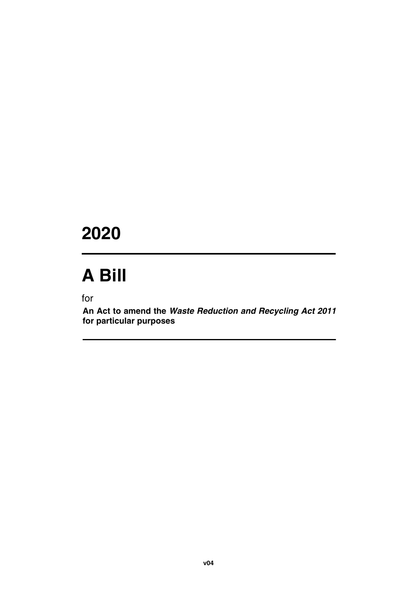## **2020**

## **A Bill**

for

**An Act to amend the** *Waste Reduction and Recycling Act 2011* **for particular purposes**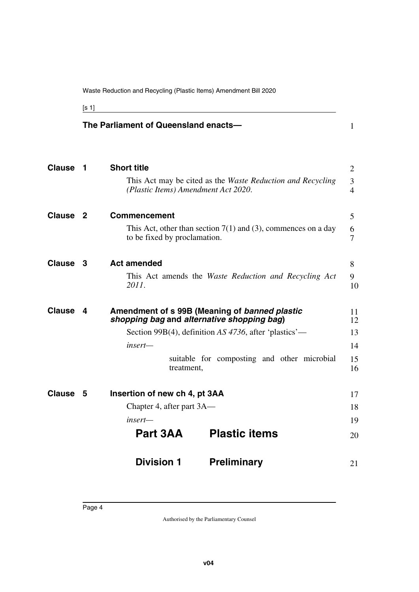<span id="page-5-1"></span>[s 1]

<span id="page-5-13"></span><span id="page-5-12"></span><span id="page-5-11"></span><span id="page-5-10"></span><span id="page-5-9"></span><span id="page-5-8"></span><span id="page-5-7"></span><span id="page-5-6"></span><span id="page-5-5"></span><span id="page-5-4"></span><span id="page-5-3"></span><span id="page-5-2"></span><span id="page-5-0"></span>

|               |     | The Parliament of Queensland enacts- |                                                                                             | $\mathbf{1}$        |
|---------------|-----|--------------------------------------|---------------------------------------------------------------------------------------------|---------------------|
| <b>Clause</b> | -1  | <b>Short title</b>                   |                                                                                             | $\overline{2}$      |
|               |     | (Plastic Items) Amendment Act 2020.  | This Act may be cited as the Waste Reduction and Recycling                                  | 3<br>$\overline{4}$ |
| <b>Clause</b> | - 2 | <b>Commencement</b>                  |                                                                                             | 5                   |
|               |     | to be fixed by proclamation.         | This Act, other than section $7(1)$ and (3), commences on a day                             | 6<br>7              |
| <b>Clause</b> | 3   | <b>Act amended</b>                   |                                                                                             | 8                   |
|               |     | 2011.                                | This Act amends the Waste Reduction and Recycling Act                                       | 9<br>10             |
| <b>Clause</b> | 4   |                                      | Amendment of s 99B (Meaning of banned plastic<br>shopping bag and alternative shopping bag) | 11<br>12            |
|               |     |                                      | Section 99B(4), definition AS 4736, after 'plastics'—                                       | 13                  |
|               |     | insert-                              |                                                                                             | 14                  |
|               |     | treatment,                           | suitable for composting and other microbial                                                 | 15<br>16            |
| <b>Clause</b> | 5   | Insertion of new ch 4, pt 3AA        |                                                                                             | 17                  |
|               |     | Chapter 4, after part 3A—            |                                                                                             | 18                  |
|               |     | insert—                              |                                                                                             | 19                  |
|               |     | Part 3AA                             | <b>Plastic items</b>                                                                        | 20                  |
|               |     | <b>Division 1</b>                    | <b>Preliminary</b>                                                                          | 21                  |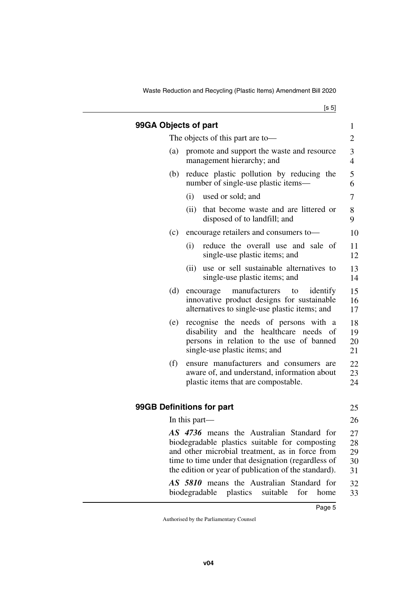<span id="page-6-1"></span>Waste Reduction and Recycling (Plastic Items) Amendment Bill 2020

<span id="page-6-3"></span><span id="page-6-2"></span><span id="page-6-0"></span>

| 99GA Objects of part      |               |                                                                                                                                                                                                                                                              | 1                          |  |
|---------------------------|---------------|--------------------------------------------------------------------------------------------------------------------------------------------------------------------------------------------------------------------------------------------------------------|----------------------------|--|
|                           |               | The objects of this part are to-                                                                                                                                                                                                                             | 2                          |  |
| (a)                       |               | promote and support the waste and resource<br>management hierarchy; and                                                                                                                                                                                      | 3<br>$\overline{4}$        |  |
| (b)                       |               | reduce plastic pollution by reducing the<br>number of single-use plastic items—                                                                                                                                                                              |                            |  |
|                           | (i)           | used or sold; and                                                                                                                                                                                                                                            | 7                          |  |
|                           | (ii)          | that become waste and are littered or<br>disposed of to landfill; and                                                                                                                                                                                        | 8<br>9                     |  |
| (c)                       |               | encourage retailers and consumers to-                                                                                                                                                                                                                        | 10                         |  |
|                           | (i)           | reduce the overall use and sale of<br>single-use plastic items; and                                                                                                                                                                                          | 11<br>12                   |  |
|                           | (ii)          | use or sell sustainable alternatives to<br>single-use plastic items; and                                                                                                                                                                                     | 13<br>14                   |  |
| (d)                       |               | manufacturers<br>to<br>identify<br>encourage<br>innovative product designs for sustainable<br>alternatives to single-use plastic items; and                                                                                                                  | 15<br>16<br>17             |  |
| (e)                       |               | recognise the needs of persons with a<br>disability and the healthcare needs of<br>persons in relation to the use of banned<br>single-use plastic items; and                                                                                                 |                            |  |
| (f)                       |               | ensure manufacturers and consumers are<br>aware of, and understand, information about<br>plastic items that are compostable.                                                                                                                                 | 22<br>23<br>24             |  |
| 99GB Definitions for part |               |                                                                                                                                                                                                                                                              | 25                         |  |
|                           | In this part— |                                                                                                                                                                                                                                                              | 26                         |  |
|                           |               | AS 4736 means the Australian Standard for<br>biodegradable plastics suitable for composting<br>and other microbial treatment, as in force from<br>time to time under that designation (regardless of<br>the edition or year of publication of the standard). | 27<br>28<br>29<br>30<br>31 |  |
|                           |               | AS 5810 means the Australian Standard for<br>biodegradable plastics<br>suitable<br>for<br>home                                                                                                                                                               | 32<br>33                   |  |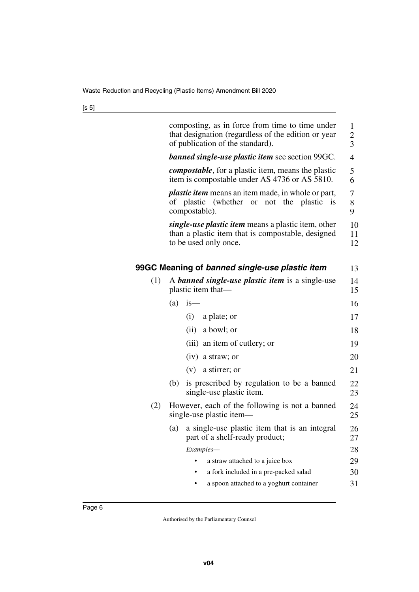| i<br>×<br>۰. | ٦<br><br>×<br>۰. |
|--------------|------------------|
|--------------|------------------|

<span id="page-7-1"></span><span id="page-7-0"></span>

|     | composting, as in force from time to time under<br>that designation (regardless of the edition or year<br>of publication of the standard). | $\mathbf{1}$<br>$\overline{c}$<br>3 |  |  |  |  |  |
|-----|--------------------------------------------------------------------------------------------------------------------------------------------|-------------------------------------|--|--|--|--|--|
|     | <b>banned single-use plastic item see section 99GC.</b>                                                                                    | 4                                   |  |  |  |  |  |
|     | <i>compostable</i> , for a plastic item, means the plastic<br>item is compostable under AS 4736 or AS 5810.                                |                                     |  |  |  |  |  |
|     | <i>plastic item</i> means an item made, in whole or part,<br>of plastic (whether or not the plastic is<br>compostable).                    |                                     |  |  |  |  |  |
|     | single-use plastic item means a plastic item, other<br>than a plastic item that is compostable, designed<br>to be used only once.          | 10<br>11<br>12                      |  |  |  |  |  |
|     | 99GC Meaning of banned single-use plastic item                                                                                             | 13                                  |  |  |  |  |  |
| (1) | A <b>banned single-use plastic item</b> is a single-use<br>plastic item that—                                                              | 14<br>15                            |  |  |  |  |  |
|     | (a)<br>i <sub>s</sub>                                                                                                                      | 16                                  |  |  |  |  |  |
|     | (i)<br>a plate; or                                                                                                                         | 17                                  |  |  |  |  |  |
|     | $(ii)$ a bowl; or                                                                                                                          | 18                                  |  |  |  |  |  |
|     | (iii) an item of cutlery; or                                                                                                               | 19                                  |  |  |  |  |  |
|     | $(iv)$ a straw; or                                                                                                                         | 20                                  |  |  |  |  |  |
|     | $(v)$ a stirrer; or                                                                                                                        | 21                                  |  |  |  |  |  |
|     | is prescribed by regulation to be a banned<br>(b)<br>single-use plastic item.                                                              | 22<br>23                            |  |  |  |  |  |
| (2) | However, each of the following is not a banned<br>single-use plastic item—                                                                 | 24<br>25                            |  |  |  |  |  |
|     | a single-use plastic item that is an integral<br>(a)<br>part of a shelf-ready product;                                                     | 26<br>27                            |  |  |  |  |  |
|     | Examples-                                                                                                                                  | 28                                  |  |  |  |  |  |
|     | a straw attached to a juice box                                                                                                            | 29                                  |  |  |  |  |  |
|     | a fork included in a pre-packed salad                                                                                                      | 30                                  |  |  |  |  |  |
|     | a spoon attached to a yoghurt container                                                                                                    | 31                                  |  |  |  |  |  |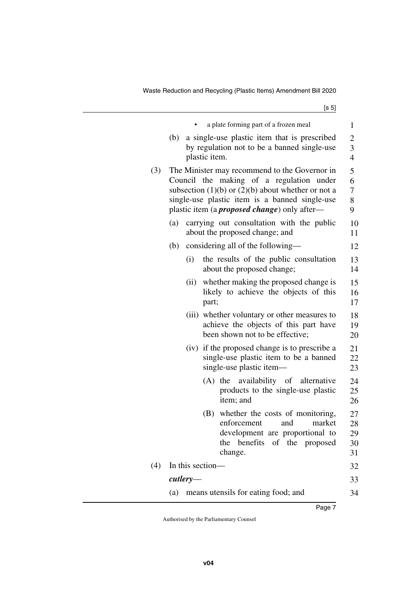|     |     |                  |               | a plate forming part of a frozen meal                                                                                                                                                                                                                         | 1                                     |
|-----|-----|------------------|---------------|---------------------------------------------------------------------------------------------------------------------------------------------------------------------------------------------------------------------------------------------------------------|---------------------------------------|
|     | (b) |                  | plastic item. | a single-use plastic item that is prescribed<br>by regulation not to be a banned single-use                                                                                                                                                                   | $\overline{c}$<br>3<br>$\overline{4}$ |
| (3) |     |                  |               | The Minister may recommend to the Governor in<br>Council the making of a regulation under<br>subsection $(1)(b)$ or $(2)(b)$ about whether or not a<br>single-use plastic item is a banned single-use<br>plastic item (a <i>proposed change</i> ) only after— | 5<br>6<br>7<br>8<br>9                 |
|     | (a) |                  |               | carrying out consultation with the public<br>about the proposed change; and                                                                                                                                                                                   | 10<br>11                              |
|     | (b) |                  |               | considering all of the following—                                                                                                                                                                                                                             | 12                                    |
|     |     | (i)              |               | the results of the public consultation<br>about the proposed change;                                                                                                                                                                                          | 13<br>14                              |
|     |     | (ii)             | part;         | whether making the proposed change is<br>likely to achieve the objects of this                                                                                                                                                                                | 15<br>16<br>17                        |
|     |     |                  |               | (iii) whether voluntary or other measures to<br>achieve the objects of this part have<br>been shown not to be effective;                                                                                                                                      | 18<br>19<br>20                        |
|     |     |                  |               | (iv) if the proposed change is to prescribe a<br>single-use plastic item to be a banned<br>single-use plastic item-                                                                                                                                           | 21<br>22<br>23                        |
|     |     |                  |               | (A) the availability of alternative<br>products to the single-use plastic<br>item; and                                                                                                                                                                        | 24<br>25<br>26                        |
|     |     |                  | (B)           | whether the costs of monitoring,<br>enforcement<br>and<br>market<br>development are proportional to<br>benefits of the proposed<br>the<br>change.                                                                                                             | 27<br>28<br>29<br>30<br>31            |
| (4) |     | In this section- |               |                                                                                                                                                                                                                                                               | 32                                    |
|     |     | $\it cutlet$ y—  |               |                                                                                                                                                                                                                                                               | 33                                    |
|     | (a) |                  |               | means utensils for eating food; and                                                                                                                                                                                                                           | 34                                    |
|     |     |                  |               |                                                                                                                                                                                                                                                               |                                       |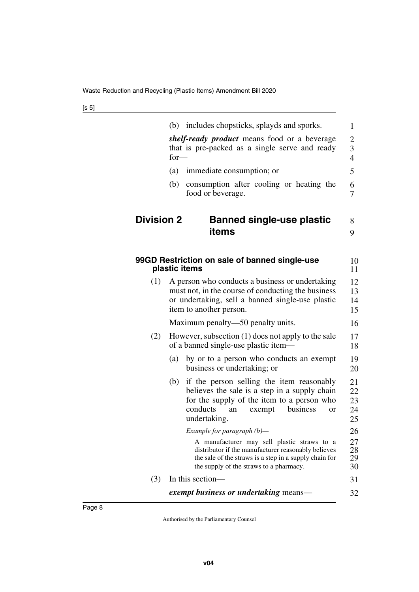<span id="page-9-3"></span><span id="page-9-2"></span><span id="page-9-1"></span><span id="page-9-0"></span>

|                   | (b)    | includes chopsticks, splayds and sporks.                                                                                                                                                                | $\mathbf{1}$                          |
|-------------------|--------|---------------------------------------------------------------------------------------------------------------------------------------------------------------------------------------------------------|---------------------------------------|
|                   | $for-$ | <i>shelf-ready product</i> means food or a beverage<br>that is pre-packed as a single serve and ready                                                                                                   | $\overline{c}$<br>3<br>$\overline{4}$ |
|                   | (a)    | immediate consumption; or                                                                                                                                                                               | 5                                     |
|                   | (b)    | consumption after cooling or heating the<br>food or beverage.                                                                                                                                           | 6<br>7                                |
| <b>Division 2</b> |        | <b>Banned single-use plastic</b><br>items                                                                                                                                                               | 8<br>9                                |
|                   |        | 99GD Restriction on sale of banned single-use<br>plastic items                                                                                                                                          | 10<br>11                              |
| (1)               |        | A person who conducts a business or undertaking<br>must not, in the course of conducting the business<br>or undertaking, sell a banned single-use plastic<br>item to another person.                    | 12<br>13<br>14<br>15                  |
|                   |        | Maximum penalty—50 penalty units.                                                                                                                                                                       | 16                                    |
| (2)               |        | However, subsection (1) does not apply to the sale<br>of a banned single-use plastic item—                                                                                                              | 17<br>18                              |
|                   | (a)    | by or to a person who conducts an exempt<br>business or undertaking; or                                                                                                                                 | 19<br>20                              |
|                   | (b)    | if the person selling the item reasonably<br>believes the sale is a step in a supply chain<br>for the supply of the item to a person who<br>conducts<br>business<br>exempt<br>an<br>or<br>undertaking.  | 21<br>22<br>23<br>24<br>25            |
|                   |        | Example for paragraph (b)-                                                                                                                                                                              | 26                                    |
|                   |        | A manufacturer may sell plastic straws to a<br>distributor if the manufacturer reasonably believes<br>the sale of the straws is a step in a supply chain for<br>the supply of the straws to a pharmacy. | 27<br>28<br>29<br>30                  |
| (3)               |        | In this section-                                                                                                                                                                                        | 31                                    |
|                   |        | <i>exempt business or undertaking means—</i>                                                                                                                                                            | 32                                    |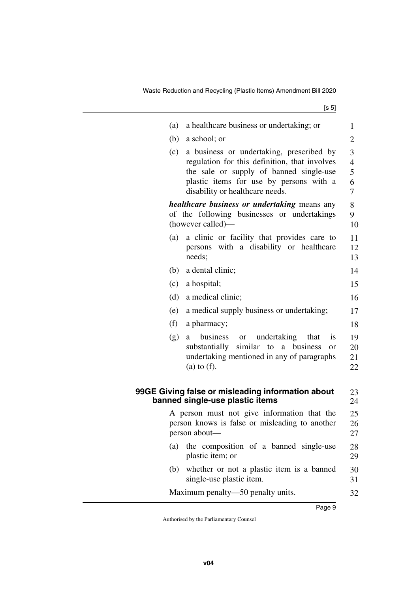<span id="page-10-1"></span><span id="page-10-0"></span>

| 1<br>2                             |
|------------------------------------|
|                                    |
|                                    |
| 3<br>$\overline{4}$<br>5<br>6<br>7 |
| 8<br>9<br>10                       |
| 11<br>12<br>13                     |
| 14                                 |
| 15                                 |
| 16                                 |
| 17                                 |
| 18                                 |
| 19<br>20<br>21<br>22               |
| 23<br>24                           |
| 25<br>26<br>27                     |
| 28<br>29                           |
| 30<br>31                           |
| 32                                 |
|                                    |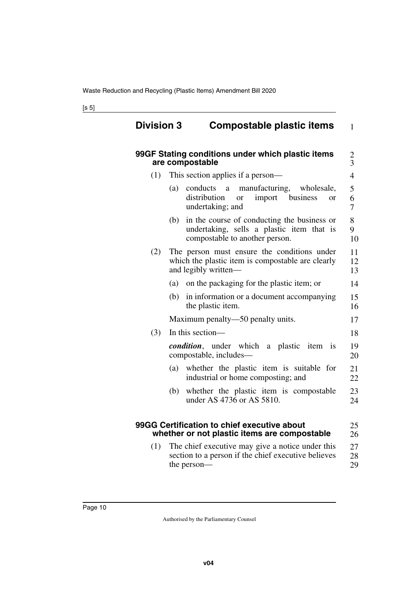<span id="page-11-3"></span><span id="page-11-2"></span><span id="page-11-1"></span><span id="page-11-0"></span>

|     | 99GF Stating conditions under which plastic items<br>are compostable                                                                         | $\frac{2}{3}$  |
|-----|----------------------------------------------------------------------------------------------------------------------------------------------|----------------|
| (1) | This section applies if a person—                                                                                                            | $\overline{4}$ |
|     | conducts<br>manufacturing,<br>(a)<br>wholesale,<br>a<br>distribution<br>import<br>business<br><sub>or</sub><br><b>or</b><br>undertaking; and | 5<br>6<br>7    |
|     | in the course of conducting the business or<br>(b)<br>undertaking, sells a plastic item that is<br>compostable to another person.            | 8<br>9<br>10   |
| (2) | The person must ensure the conditions under<br>which the plastic item is compostable are clearly<br>and legibly written—                     | 11<br>12<br>13 |
|     | on the packaging for the plastic item; or<br>(a)                                                                                             | 14             |
|     | (b)<br>in information or a document accompanying<br>the plastic item.                                                                        | 15<br>16       |
|     | Maximum penalty—50 penalty units.                                                                                                            | 17             |
| (3) | In this section-                                                                                                                             | 18             |
|     | <i>condition</i> , under which a plastic item is<br>compostable, includes-                                                                   | 19<br>20       |
|     | whether the plastic item is suitable for<br>(a)<br>industrial or home composting; and                                                        | 21<br>22       |
|     | whether the plastic item is compostable<br>(b)<br>under AS 4736 or AS 5810.                                                                  | 23<br>24       |
|     | 99GG Certification to chief executive about<br>whether or not plastic items are compostable                                                  | 25<br>26       |
| (1) | The chief executive may give a notice under this<br>section to a person if the chief executive believes<br>the person-                       | 27<br>28<br>29 |

<span id="page-11-5"></span><span id="page-11-4"></span>29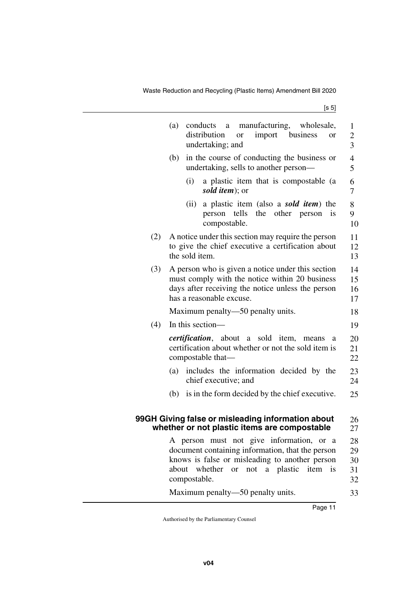<span id="page-12-1"></span><span id="page-12-0"></span>

|     | manufacturing, wholesale,<br>(a)<br>conducts<br>$\mathbf{a}$<br>import business<br>distribution<br>or<br>or<br>undertaking; and                                                                                                    | $\mathbf{1}$<br>$\overline{c}$<br>3 |
|-----|------------------------------------------------------------------------------------------------------------------------------------------------------------------------------------------------------------------------------------|-------------------------------------|
|     | in the course of conducting the business or<br>(b)<br>undertaking, sells to another person—                                                                                                                                        | $\overline{4}$<br>5                 |
|     | (i)<br>a plastic item that is compostable (a<br>sold <i>item</i> ); or                                                                                                                                                             | 6<br>7                              |
|     | (ii)<br>a plastic item (also a <i>sold item</i> ) the<br>tells<br>the<br>other<br>person<br>person<br>1S<br>compostable.                                                                                                           | 8<br>9<br>10                        |
| (2) | A notice under this section may require the person<br>to give the chief executive a certification about<br>the sold item.                                                                                                          | 11<br>12<br>13                      |
| (3) | A person who is given a notice under this section<br>must comply with the notice within 20 business<br>days after receiving the notice unless the person<br>has a reasonable excuse.                                               | 14<br>15<br>16<br>17                |
|     | Maximum penalty—50 penalty units.                                                                                                                                                                                                  | 18                                  |
| (4) | In this section-                                                                                                                                                                                                                   | 19                                  |
|     | <i>certification</i> , about a<br>sold item,<br>means<br>a<br>certification about whether or not the sold item is<br>compostable that—                                                                                             | 20<br>21<br>22                      |
|     | includes the information decided by the<br>(a)<br>chief executive; and                                                                                                                                                             | 23<br>24                            |
|     | is in the form decided by the chief executive.<br>(b)                                                                                                                                                                              | 25                                  |
|     | 99GH Giving false or misleading information about<br>whether or not plastic items are compostable                                                                                                                                  | 26<br>27                            |
|     | A person must not give information, or a<br>document containing information, that the person<br>knows is false or misleading to another person<br>item<br>about<br>whether<br>not a plastic<br>is<br><sub>or</sub><br>compostable. | 28<br>29<br>30<br>31<br>32          |
|     | Maximum penalty—50 penalty units.                                                                                                                                                                                                  | 33                                  |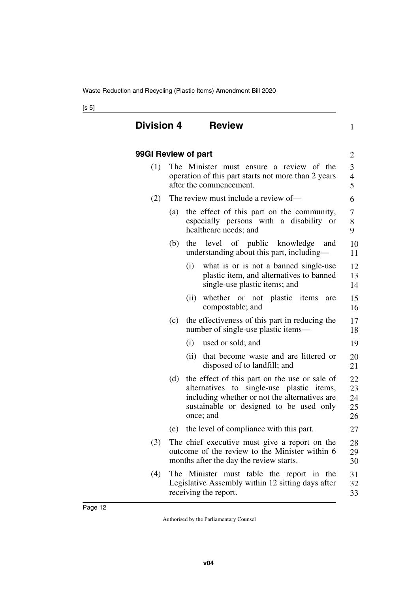<span id="page-13-3"></span><span id="page-13-2"></span><span id="page-13-1"></span><span id="page-13-0"></span>

| <b>Division 4</b>   |     | <b>Review</b> |                                                                                                                                                                                                     | $\mathbf{1}$                       |  |
|---------------------|-----|---------------|-----------------------------------------------------------------------------------------------------------------------------------------------------------------------------------------------------|------------------------------------|--|
| 99GI Review of part |     |               |                                                                                                                                                                                                     | $\overline{2}$                     |  |
| (1)                 |     |               | The Minister must ensure a review of the<br>operation of this part starts not more than 2 years<br>after the commencement.                                                                          | 3<br>$\overline{\mathcal{L}}$<br>5 |  |
| (2)                 |     |               | The review must include a review of-                                                                                                                                                                | 6                                  |  |
|                     | (a) |               | the effect of this part on the community,<br>especially persons with a disability or<br>healthcare needs; and                                                                                       | 7<br>8<br>9                        |  |
|                     | (b) |               | the level of public knowledge<br>and<br>understanding about this part, including-                                                                                                                   | 10<br>11                           |  |
|                     |     | (i)           | what is or is not a banned single-use<br>plastic item, and alternatives to banned<br>single-use plastic items; and                                                                                  | 12<br>13<br>14                     |  |
|                     |     | (ii)          | whether or not plastic items<br>are<br>compostable; and                                                                                                                                             | 15<br>16                           |  |
|                     | (c) |               | the effectiveness of this part in reducing the<br>number of single-use plastic items—                                                                                                               | 17<br>18                           |  |
|                     |     | (i)           | used or sold; and                                                                                                                                                                                   | 19                                 |  |
|                     |     | (ii)          | that become waste and are littered or<br>disposed of to landfill; and                                                                                                                               | 20<br>21                           |  |
|                     | (d) |               | the effect of this part on the use or sale of<br>alternatives to single-use plastic items,<br>including whether or not the alternatives are<br>sustainable or designed to be used only<br>once; and | 22<br>23<br>24<br>25<br>26         |  |
|                     | (e) |               | the level of compliance with this part.                                                                                                                                                             | 27                                 |  |
| (3)                 |     |               | The chief executive must give a report on the<br>outcome of the review to the Minister within 6<br>months after the day the review starts.                                                          | 28<br>29<br>30                     |  |
| (4)                 |     |               | The Minister must table the report in the<br>Legislative Assembly within 12 sitting days after<br>receiving the report.                                                                             | 31<br>32<br>33                     |  |